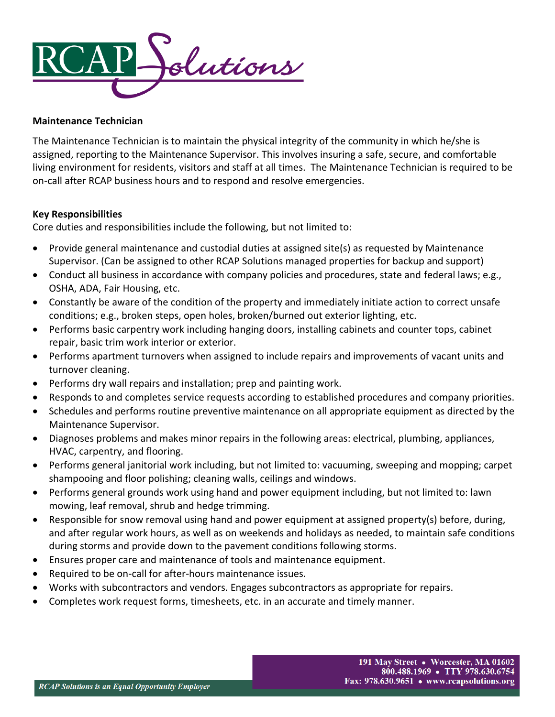

#### **Maintenance Technician**

The Maintenance Technician is to maintain the physical integrity of the community in which he/she is assigned, reporting to the Maintenance Supervisor. This involves insuring a safe, secure, and comfortable living environment for residents, visitors and staff at all times. The Maintenance Technician is required to be on-call after RCAP business hours and to respond and resolve emergencies.

### **Key Responsibilities**

Core duties and responsibilities include the following, but not limited to:

- Provide general maintenance and custodial duties at assigned site(s) as requested by Maintenance Supervisor. (Can be assigned to other RCAP Solutions managed properties for backup and support)
- Conduct all business in accordance with company policies and procedures, state and federal laws; e.g., OSHA, ADA, Fair Housing, etc.
- Constantly be aware of the condition of the property and immediately initiate action to correct unsafe conditions; e.g., broken steps, open holes, broken/burned out exterior lighting, etc.
- Performs basic carpentry work including hanging doors, installing cabinets and counter tops, cabinet repair, basic trim work interior or exterior.
- Performs apartment turnovers when assigned to include repairs and improvements of vacant units and turnover cleaning.
- Performs dry wall repairs and installation; prep and painting work.
- Responds to and completes service requests according to established procedures and company priorities.
- Schedules and performs routine preventive maintenance on all appropriate equipment as directed by the Maintenance Supervisor.
- Diagnoses problems and makes minor repairs in the following areas: electrical, plumbing, appliances, HVAC, carpentry, and flooring.
- Performs general janitorial work including, but not limited to: vacuuming, sweeping and mopping; carpet shampooing and floor polishing; cleaning walls, ceilings and windows.
- Performs general grounds work using hand and power equipment including, but not limited to: lawn mowing, leaf removal, shrub and hedge trimming.
- Responsible for snow removal using hand and power equipment at assigned property(s) before, during, and after regular work hours, as well as on weekends and holidays as needed, to maintain safe conditions during storms and provide down to the pavement conditions following storms.
- Ensures proper care and maintenance of tools and maintenance equipment.
- Required to be on-call for after-hours maintenance issues.
- Works with subcontractors and vendors. Engages subcontractors as appropriate for repairs.
- Completes work request forms, timesheets, etc. in an accurate and timely manner.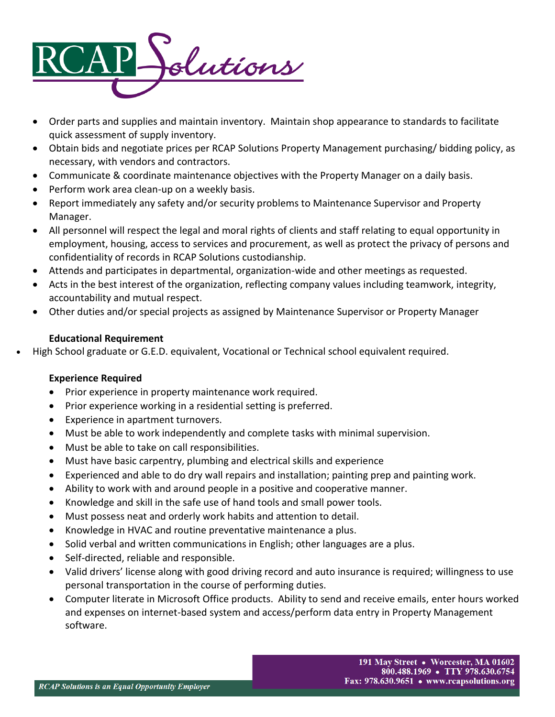

- Order parts and supplies and maintain inventory. Maintain shop appearance to standards to facilitate quick assessment of supply inventory.
- Obtain bids and negotiate prices per RCAP Solutions Property Management purchasing/ bidding policy, as necessary, with vendors and contractors.
- Communicate & coordinate maintenance objectives with the Property Manager on a daily basis.
- Perform work area clean-up on a weekly basis.
- Report immediately any safety and/or security problems to Maintenance Supervisor and Property Manager.
- All personnel will respect the legal and moral rights of clients and staff relating to equal opportunity in employment, housing, access to services and procurement, as well as protect the privacy of persons and confidentiality of records in RCAP Solutions custodianship.
- Attends and participates in departmental, organization-wide and other meetings as requested.
- Acts in the best interest of the organization, reflecting company values including teamwork, integrity, accountability and mutual respect.
- Other duties and/or special projects as assigned by Maintenance Supervisor or Property Manager

# **Educational Requirement**

• High School graduate or G.E.D. equivalent, Vocational or Technical school equivalent required.

# **Experience Required**

- Prior experience in property maintenance work required.
- Prior experience working in a residential setting is preferred.
- Experience in apartment turnovers.
- Must be able to work independently and complete tasks with minimal supervision.
- Must be able to take on call responsibilities.
- Must have basic carpentry, plumbing and electrical skills and experience
- Experienced and able to do dry wall repairs and installation; painting prep and painting work.
- Ability to work with and around people in a positive and cooperative manner.
- Knowledge and skill in the safe use of hand tools and small power tools.
- Must possess neat and orderly work habits and attention to detail.
- Knowledge in HVAC and routine preventative maintenance a plus.
- Solid verbal and written communications in English; other languages are a plus.
- Self-directed, reliable and responsible.
- Valid drivers' license along with good driving record and auto insurance is required; willingness to use personal transportation in the course of performing duties.
- Computer literate in Microsoft Office products. Ability to send and receive emails, enter hours worked and expenses on internet-based system and access/perform data entry in Property Management software.